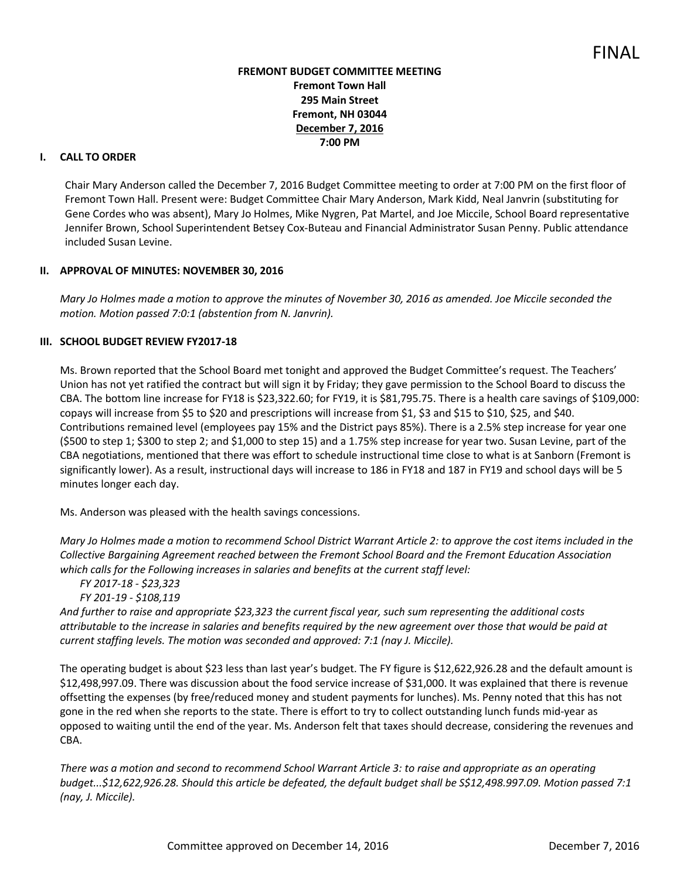## **FREMONT BUDGET COMMITTEE MEETING Fremont Town Hall 295 Main Street Fremont, NH 03044 December 7, 2016 7:00 PM**

#### **I. CALL TO ORDER**

Chair Mary Anderson called the December 7, 2016 Budget Committee meeting to order at 7:00 PM on the first floor of Fremont Town Hall. Present were: Budget Committee Chair Mary Anderson, Mark Kidd, Neal Janvrin (substituting for Gene Cordes who was absent), Mary Jo Holmes, Mike Nygren, Pat Martel, and Joe Miccile, School Board representative Jennifer Brown, School Superintendent Betsey Cox-Buteau and Financial Administrator Susan Penny. Public attendance included Susan Levine.

#### **II. APPROVAL OF MINUTES: NOVEMBER 30, 2016**

*Mary Jo Holmes made a motion to approve the minutes of November 30, 2016 as amended. Joe Miccile seconded the motion. Motion passed 7:0:1 (abstention from N. Janvrin).* 

#### **III. SCHOOL BUDGET REVIEW FY2017-18**

Ms. Brown reported that the School Board met tonight and approved the Budget Committee's request. The Teachers' Union has not yet ratified the contract but will sign it by Friday; they gave permission to the School Board to discuss the CBA. The bottom line increase for FY18 is \$23,322.60; for FY19, it is \$81,795.75. There is a health care savings of \$109,000: copays will increase from \$5 to \$20 and prescriptions will increase from \$1, \$3 and \$15 to \$10, \$25, and \$40. Contributions remained level (employees pay 15% and the District pays 85%). There is a 2.5% step increase for year one (\$500 to step 1; \$300 to step 2; and \$1,000 to step 15) and a 1.75% step increase for year two. Susan Levine, part of the CBA negotiations, mentioned that there was effort to schedule instructional time close to what is at Sanborn (Fremont is significantly lower). As a result, instructional days will increase to 186 in FY18 and 187 in FY19 and school days will be 5 minutes longer each day.

Ms. Anderson was pleased with the health savings concessions.

*Mary Jo Holmes made a motion to recommend School District Warrant Article 2: to approve the cost items included in the Collective Bargaining Agreement reached between the Fremont School Board and the Fremont Education Association which calls for the Following increases in salaries and benefits at the current staff level:* 

```
 FY 2017-18 - $23,323 
FY 201-19 - $108,119
```
*And further to raise and appropriate \$23,323 the current fiscal year, such sum representing the additional costs attributable to the increase in salaries and benefits required by the new agreement over those that would be paid at current staffing levels. The motion was seconded and approved: 7:1 (nay J. Miccile).* 

The operating budget is about \$23 less than last year's budget. The FY figure is \$12,622,926.28 and the default amount is \$12,498,997.09. There was discussion about the food service increase of \$31,000. It was explained that there is revenue offsetting the expenses (by free/reduced money and student payments for lunches). Ms. Penny noted that this has not gone in the red when she reports to the state. There is effort to try to collect outstanding lunch funds mid-year as opposed to waiting until the end of the year. Ms. Anderson felt that taxes should decrease, considering the revenues and CBA.

*There was a motion and second to recommend School Warrant Article 3: to raise and appropriate as an operating budget...\$12,622,926.28. Should this article be defeated, the default budget shall be S\$12,498.997.09. Motion passed 7:1 (nay, J. Miccile).*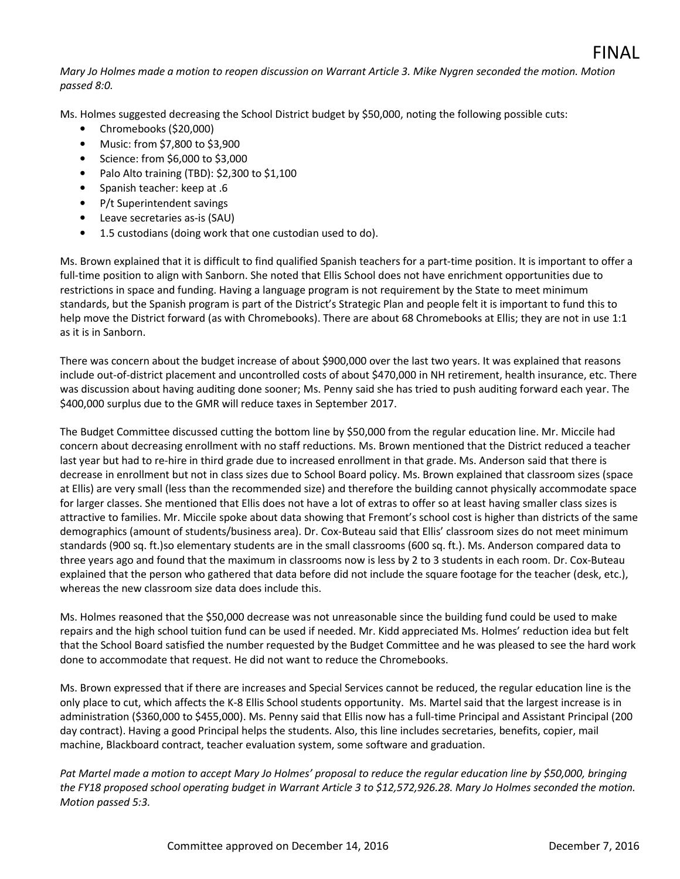Ms. Holmes suggested decreasing the School District budget by \$50,000, noting the following possible cuts:

- Chromebooks (\$20,000)
- Music: from \$7,800 to \$3,900
- Science: from \$6,000 to \$3,000
- Palo Alto training (TBD): \$2,300 to \$1,100
- Spanish teacher: keep at .6
- P/t Superintendent savings
- Leave secretaries as-is (SAU)
- 1.5 custodians (doing work that one custodian used to do).

Ms. Brown explained that it is difficult to find qualified Spanish teachers for a part-time position. It is important to offer a full-time position to align with Sanborn. She noted that Ellis School does not have enrichment opportunities due to restrictions in space and funding. Having a language program is not requirement by the State to meet minimum standards, but the Spanish program is part of the District's Strategic Plan and people felt it is important to fund this to help move the District forward (as with Chromebooks). There are about 68 Chromebooks at Ellis; they are not in use 1:1 as it is in Sanborn.

There was concern about the budget increase of about \$900,000 over the last two years. It was explained that reasons include out-of-district placement and uncontrolled costs of about \$470,000 in NH retirement, health insurance, etc. There was discussion about having auditing done sooner; Ms. Penny said she has tried to push auditing forward each year. The \$400,000 surplus due to the GMR will reduce taxes in September 2017.

The Budget Committee discussed cutting the bottom line by \$50,000 from the regular education line. Mr. Miccile had concern about decreasing enrollment with no staff reductions. Ms. Brown mentioned that the District reduced a teacher last year but had to re-hire in third grade due to increased enrollment in that grade. Ms. Anderson said that there is decrease in enrollment but not in class sizes due to School Board policy. Ms. Brown explained that classroom sizes (space at Ellis) are very small (less than the recommended size) and therefore the building cannot physically accommodate space for larger classes. She mentioned that Ellis does not have a lot of extras to offer so at least having smaller class sizes is attractive to families. Mr. Miccile spoke about data showing that Fremont's school cost is higher than districts of the same demographics (amount of students/business area). Dr. Cox-Buteau said that Ellis' classroom sizes do not meet minimum standards (900 sq. ft.)so elementary students are in the small classrooms (600 sq. ft.). Ms. Anderson compared data to three years ago and found that the maximum in classrooms now is less by 2 to 3 students in each room. Dr. Cox-Buteau explained that the person who gathered that data before did not include the square footage for the teacher (desk, etc.), whereas the new classroom size data does include this.

Ms. Holmes reasoned that the \$50,000 decrease was not unreasonable since the building fund could be used to make repairs and the high school tuition fund can be used if needed. Mr. Kidd appreciated Ms. Holmes' reduction idea but felt that the School Board satisfied the number requested by the Budget Committee and he was pleased to see the hard work done to accommodate that request. He did not want to reduce the Chromebooks.

Ms. Brown expressed that if there are increases and Special Services cannot be reduced, the regular education line is the only place to cut, which affects the K-8 Ellis School students opportunity. Ms. Martel said that the largest increase is in administration (\$360,000 to \$455,000). Ms. Penny said that Ellis now has a full-time Principal and Assistant Principal (200 day contract). Having a good Principal helps the students. Also, this line includes secretaries, benefits, copier, mail machine, Blackboard contract, teacher evaluation system, some software and graduation.

*Pat Martel made a motion to accept Mary Jo Holmes' proposal to reduce the regular education line by \$50,000, bringing the FY18 proposed school operating budget in Warrant Article 3 to \$12,572,926.28. Mary Jo Holmes seconded the motion. Motion passed 5:3.* 

FINAL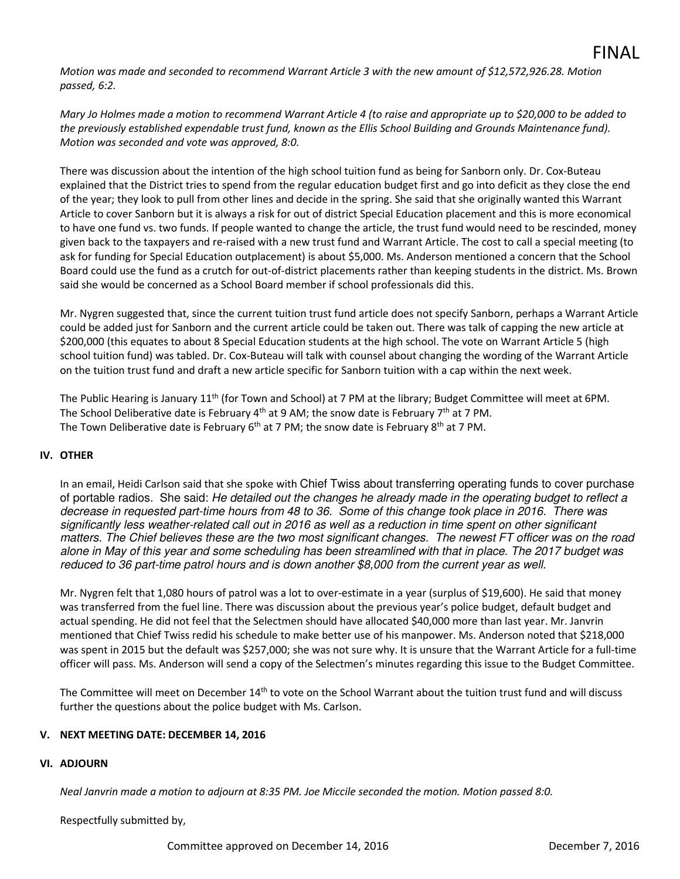*Motion was made and seconded to recommend Warrant Article 3 with the new amount of \$12,572,926.28. Motion passed, 6:2.* 

*Mary Jo Holmes made a motion to recommend Warrant Article 4 (to raise and appropriate up to \$20,000 to be added to the previously established expendable trust fund, known as the Ellis School Building and Grounds Maintenance fund). Motion was seconded and vote was approved, 8:0.* 

There was discussion about the intention of the high school tuition fund as being for Sanborn only. Dr. Cox-Buteau explained that the District tries to spend from the regular education budget first and go into deficit as they close the end of the year; they look to pull from other lines and decide in the spring. She said that she originally wanted this Warrant Article to cover Sanborn but it is always a risk for out of district Special Education placement and this is more economical to have one fund vs. two funds. If people wanted to change the article, the trust fund would need to be rescinded, money given back to the taxpayers and re-raised with a new trust fund and Warrant Article. The cost to call a special meeting (to ask for funding for Special Education outplacement) is about \$5,000. Ms. Anderson mentioned a concern that the School Board could use the fund as a crutch for out-of-district placements rather than keeping students in the district. Ms. Brown said she would be concerned as a School Board member if school professionals did this.

Mr. Nygren suggested that, since the current tuition trust fund article does not specify Sanborn, perhaps a Warrant Article could be added just for Sanborn and the current article could be taken out. There was talk of capping the new article at \$200,000 (this equates to about 8 Special Education students at the high school. The vote on Warrant Article 5 (high school tuition fund) was tabled. Dr. Cox-Buteau will talk with counsel about changing the wording of the Warrant Article on the tuition trust fund and draft a new article specific for Sanborn tuition with a cap within the next week.

The Public Hearing is January 11<sup>th</sup> (for Town and School) at 7 PM at the library; Budget Committee will meet at 6PM. The School Deliberative date is February 4<sup>th</sup> at 9 AM; the snow date is February 7<sup>th</sup> at 7 PM. The Town Deliberative date is February  $6<sup>th</sup>$  at 7 PM; the snow date is February 8<sup>th</sup> at 7 PM.

## **IV. OTHER**

In an email, Heidi Carlson said that she spoke with Chief Twiss about transferring operating funds to cover purchase of portable radios. She said: He detailed out the changes he already made in the operating budget to reflect a decrease in requested part-time hours from 48 to 36. Some of this change took place in 2016. There was significantly less weather-related call out in 2016 as well as a reduction in time spent on other significant matters. The Chief believes these are the two most significant changes. The newest FT officer was on the road alone in May of this year and some scheduling has been streamlined with that in place. The 2017 budget was reduced to 36 part-time patrol hours and is down another \$8,000 from the current year as well.

Mr. Nygren felt that 1,080 hours of patrol was a lot to over-estimate in a year (surplus of \$19,600). He said that money was transferred from the fuel line. There was discussion about the previous year's police budget, default budget and actual spending. He did not feel that the Selectmen should have allocated \$40,000 more than last year. Mr. Janvrin mentioned that Chief Twiss redid his schedule to make better use of his manpower. Ms. Anderson noted that \$218,000 was spent in 2015 but the default was \$257,000; she was not sure why. It is unsure that the Warrant Article for a full-time officer will pass. Ms. Anderson will send a copy of the Selectmen's minutes regarding this issue to the Budget Committee.

The Committee will meet on December 14<sup>th</sup> to vote on the School Warrant about the tuition trust fund and will discuss further the questions about the police budget with Ms. Carlson.

## **V. NEXT MEETING DATE: DECEMBER 14, 2016**

## **VI. ADJOURN**

 *Neal Janvrin made a motion to adjourn at 8:35 PM. Joe Miccile seconded the motion. Motion passed 8:0.*

Respectfully submitted by,